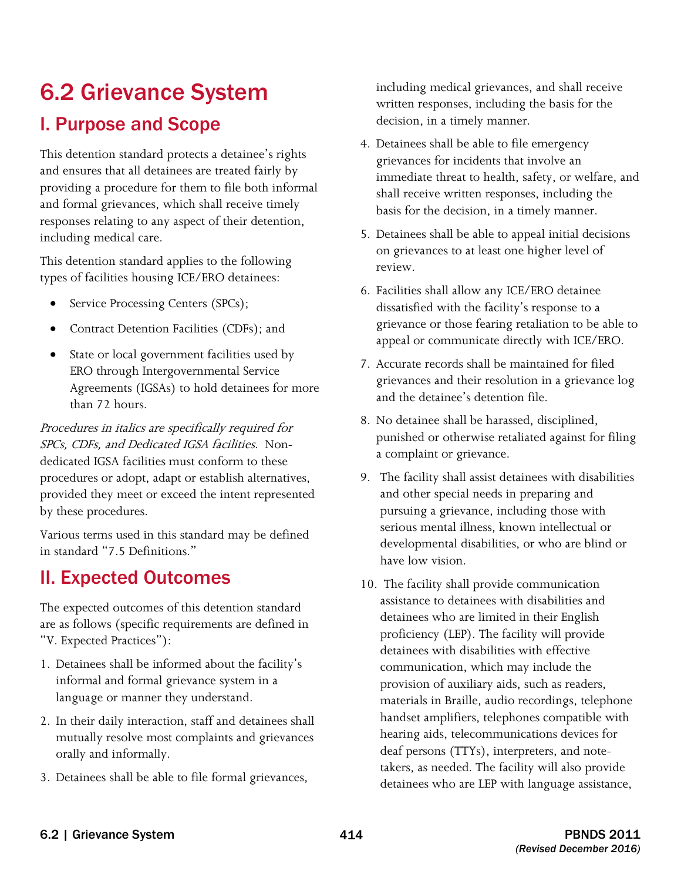# 6.2 Grievance System I. Purpose and Scope

This detention standard protects a detainee's rights and ensures that all detainees are treated fairly by providing a procedure for them to file both informal and formal grievances, which shall receive timely responses relating to any aspect of their detention, including medical care.

This detention standard applies to the following types of facilities housing ICE/ERO detainees:

- Service Processing Centers (SPCs);
- Contract Detention Facilities (CDFs); and
- State or local government facilities used by ERO through Intergovernmental Service Agreements (IGSAs) to hold detainees for more than 72 hours.

 SPCs, CDFs, and Dedicated IGSA facilities. Non-Procedures in italics are specifically required for dedicated IGSA facilities must conform to these procedures or adopt, adapt or establish alternatives, provided they meet or exceed the intent represented by these procedures.

Various terms used in this standard may be defined in standard "7.5 Definitions."

## II. Expected Outcomes

The expected outcomes of this detention standard are as follows (specific requirements are defined in "V. Expected Practices"):

- 1. Detainees shall be informed about the facility's informal and formal grievance system in a language or manner they understand.
- 2. In their daily interaction, staff and detainees shall mutually resolve most complaints and grievances orally and informally.
- 3. Detainees shall be able to file formal grievances,

including medical grievances, and shall receive written responses, including the basis for the decision, in a timely manner.

- 4. Detainees shall be able to file emergency grievances for incidents that involve an immediate threat to health, safety, or welfare, and shall receive written responses, including the basis for the decision, in a timely manner.
- 5. Detainees shall be able to appeal initial decisions on grievances to at least one higher level of review.
- 6. Facilities shall allow any ICE/ERO detainee dissatisfied with the facility's response to a grievance or those fearing retaliation to be able to appeal or communicate directly with ICE/ERO.
- 7. Accurate records shall be maintained for filed grievances and their resolution in a grievance log and the detainee's detention file.
- 8. No detainee shall be harassed, disciplined, punished or otherwise retaliated against for filing a complaint or grievance.
- 9. The facility shall assist detainees with disabilities and other special needs in preparing and pursuing a grievance, including those with serious mental illness, known intellectual or developmental disabilities, or who are blind or have low vision.
- 10. The facility shall provide communication assistance to detainees with disabilities and detainees who are limited in their English proficiency (LEP). The facility will provide detainees with disabilities with effective communication, which may include the provision of auxiliary aids, such as readers, materials in Braille, audio recordings, telephone handset amplifiers, telephones compatible with hearing aids, telecommunications devices for deaf persons (TTYs), interpreters, and notetakers, as needed. The facility will also provide detainees who are LEP with language assistance,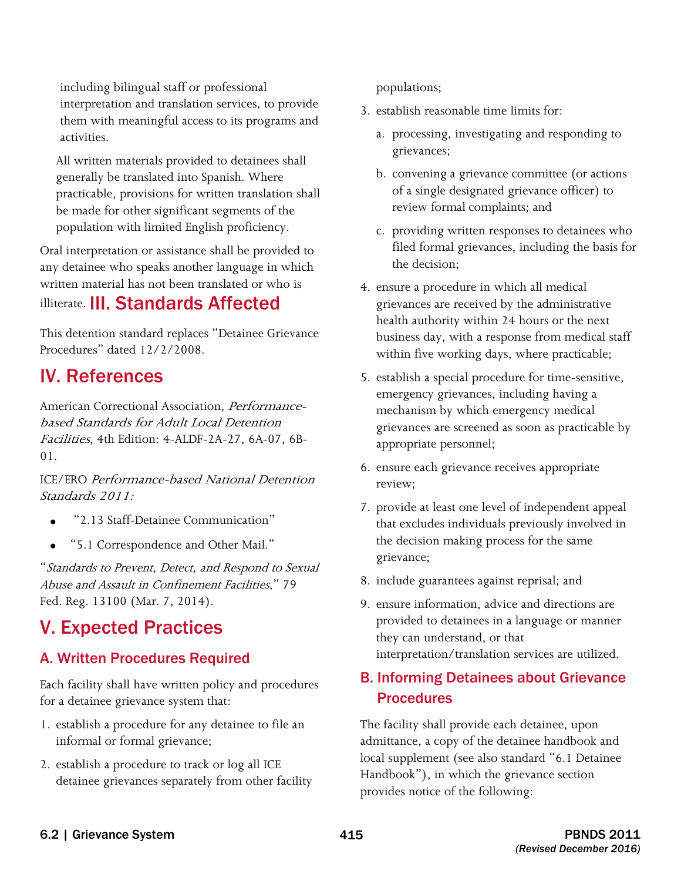including bilingual staff or professional interpretation and translation services, to provide them with meaningful access to its programs and activities.

All written materials provided to detainees shall generally be translated into Spanish. Where practicable, provisions for written translation shall be made for other significant segments of the population with limited English proficiency.

Oral interpretation or assistance shall be provided to any detainee who speaks another language in which written material has not been translated or who is illiterate. III. Standards Affected

This detention standard replaces "Detainee Grievance Procedures" dated 12/2/2008.

## IV. References

American Correctional Association, Performancebased Standards for Adult Local Detention Facilities, 4th Edition: 4-ALDF-2A-27, 6A-07, 6B-01.

ICE/ERO Performance-based National Detention Standards 2011:

- "2.13 Staff-Detainee Communication"
- "5.1 Correspondence and Other Mail."

"Standards to Prevent, Detect, and Respond to Sexual Abuse and Assault in Confinement Facilities," 79 Fed. Reg. 13100 (Mar. 7, 2014).

## V. Expected Practices

## A. Written Procedures Required

Each facility shall have written policy and procedures for a detainee grievance system that:

- 1. establish a procedure for any detainee to file an informal or formal grievance;
- 2. establish a procedure to track or log all ICE detainee grievances separately from other facility

populations;

- 3. establish reasonable time limits for:
	- a. processing, investigating and responding to grievances;
	- b. convening a grievance committee (or actions of a single designated grievance officer) to review formal complaints; and
	- c. providing written responses to detainees who filed formal grievances, including the basis for the decision;
- 4. ensure a procedure in which all medical grievances are received by the administrative health authority within 24 hours or the next business day, with a response from medical staff within five working days, where practicable;
- 5. establish a special procedure for time-sensitive, emergency grievances, including having a mechanism by which emergency medical grievances are screened as soon as practicable by appropriate personnel;
- 6. ensure each grievance receives appropriate review;
- 7. provide at least one level of independent appeal that excludes individuals previously involved in the decision making process for the same grievance;
- 8. include guarantees against reprisal; and
- 9. ensure information, advice and directions are provided to detainees in a language or manner they can understand, or that interpretation/translation services are utilized.

## B. Informing Detainees about Grievance **Procedures**

 admittance, a copy of the detainee handbook and The facility shall provide each detainee, upon local supplement (see also standard "6.1 Detainee Handbook"), in which the grievance section provides notice of the following: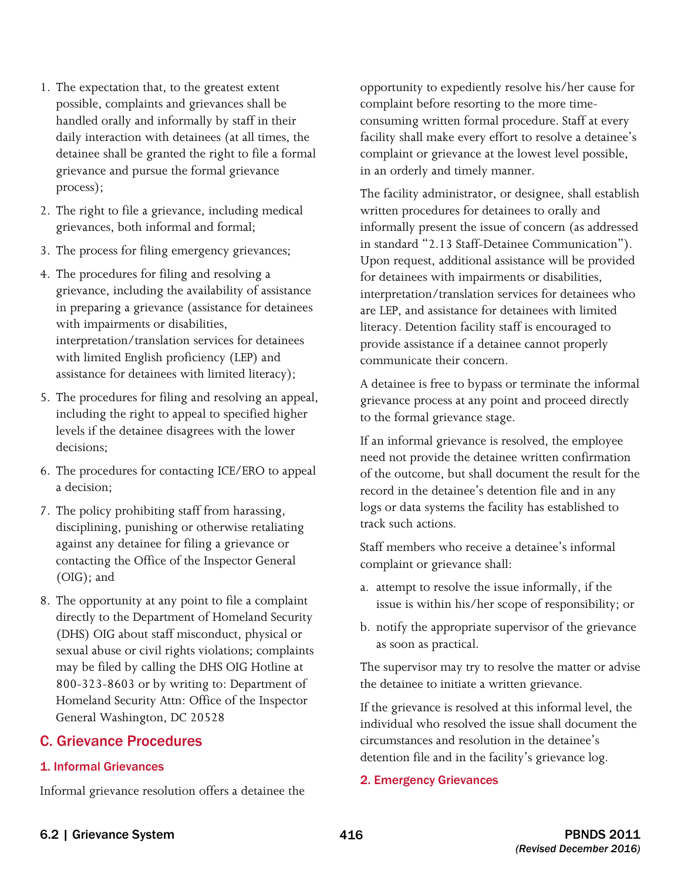- 1. The expectation that, to the greatest extent possible, complaints and grievances shall be handled orally and informally by staff in their daily interaction with detainees (at all times, the detainee shall be granted the right to file a formal grievance and pursue the formal grievance process);
- 2. The right to file a grievance, including medical grievances, both informal and formal;
- 3. The process for filing emergency grievances;
- 4. The procedures for filing and resolving a grievance, including the availability of assistance in preparing a grievance (assistance for detainees with impairments or disabilities, interpretation/translation services for detainees with limited English proficiency (LEP) and assistance for detainees with limited literacy);
- 5. The procedures for filing and resolving an appeal, including the right to appeal to specified higher levels if the detainee disagrees with the lower decisions;
- 6. The procedures for contacting ICE/ERO to appeal a decision;
- 7. The policy prohibiting staff from harassing, disciplining, punishing or otherwise retaliating against any detainee for filing a grievance or contacting the Office of the Inspector General (OIG); and
- 8. The opportunity at any point to file a complaint directly to the Department of Homeland Security (DHS) OIG about staff misconduct, physical or sexual abuse or civil rights violations; complaints may be filed by calling the DHS OIG Hotline at 800-323-8603 or by writing to: Department of Homeland Security Attn: Office of the Inspector General Washington, DC 20528

#### C. Grievance Procedures

#### 1. Informal Grievances

Informal grievance resolution offers a detainee the

opportunity to expediently resolve his/her cause for complaint before resorting to the more timeconsuming written formal procedure. Staff at every facility shall make every effort to resolve a detainee's complaint or grievance at the lowest level possible, in an orderly and timely manner.

 informally present the issue of concern (as addressed The facility administrator, or designee, shall establish written procedures for detainees to orally and in standard "2.13 Staff-Detainee Communication"). Upon request, additional assistance will be provided for detainees with impairments or disabilities, interpretation/translation services for detainees who are LEP, and assistance for detainees with limited literacy. Detention facility staff is encouraged to provide assistance if a detainee cannot properly communicate their concern.

A detainee is free to bypass or terminate the informal grievance process at any point and proceed directly to the formal grievance stage.

If an informal grievance is resolved, the employee need not provide the detainee written confirmation of the outcome, but shall document the result for the record in the detainee's detention file and in any logs or data systems the facility has established to track such actions.

Staff members who receive a detainee's informal complaint or grievance shall:

- a. attempt to resolve the issue informally, if the issue is within his/her scope of responsibility; or
- b. notify the appropriate supervisor of the grievance as soon as practical.

 The supervisor may try to resolve the matter or advise the detainee to initiate a written grievance.

 If the grievance is resolved at this informal level, the detention file and in the facility's grievance log. individual who resolved the issue shall document the circumstances and resolution in the detainee's

#### 2. Emergency Grievances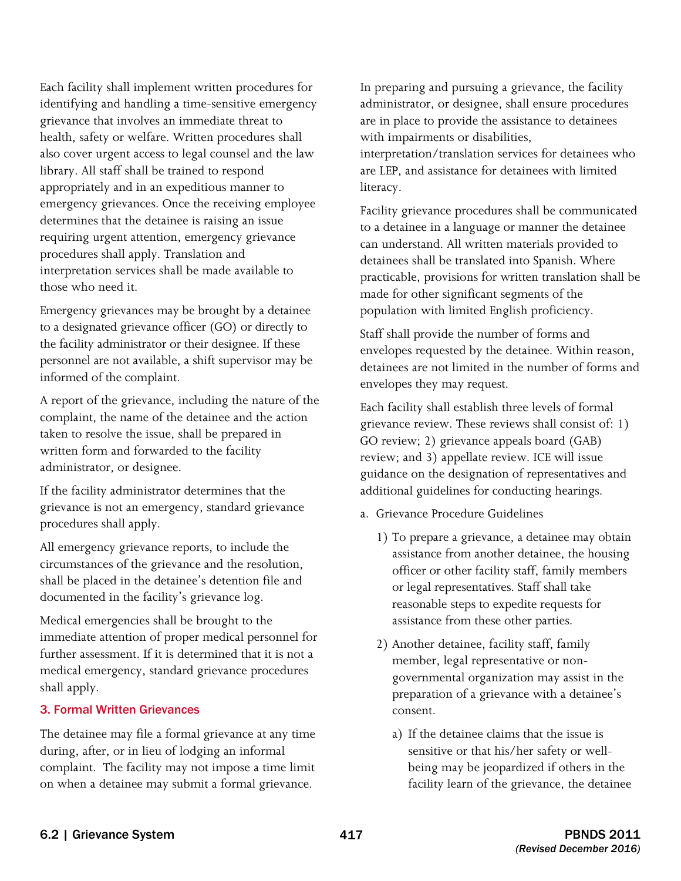Each facility shall implement written procedures for identifying and handling a time-sensitive emergency grievance that involves an immediate threat to health, safety or welfare. Written procedures shall also cover urgent access to legal counsel and the law library. All staff shall be trained to respond appropriately and in an expeditious manner to emergency grievances. Once the receiving employee determines that the detainee is raising an issue requiring urgent attention, emergency grievance procedures shall apply. Translation and interpretation services shall be made available to those who need it.

 the facility administrator or their designee. If these personnel are not available, a shift supervisor may be Emergency grievances may be brought by a detainee to a designated grievance officer (GO) or directly to informed of the complaint.

 complaint, the name of the detainee and the action A report of the grievance, including the nature of the taken to resolve the issue, shall be prepared in written form and forwarded to the facility administrator, or designee.

If the facility administrator determines that the grievance is not an emergency, standard grievance procedures shall apply.

All emergency grievance reports, to include the circumstances of the grievance and the resolution, shall be placed in the detainee's detention file and documented in the facility's grievance log.

Medical emergencies shall be brought to the immediate attention of proper medical personnel for further assessment. If it is determined that it is not a medical emergency, standard grievance procedures shall apply.

#### 3. Formal Written Grievances

 complaint. The facility may not impose a time limit The detainee may file a formal grievance at any time during, after, or in lieu of lodging an informal on when a detainee may submit a formal grievance.

In preparing and pursuing a grievance, the facility administrator, or designee, shall ensure procedures are in place to provide the assistance to detainees with impairments or disabilities,

interpretation/translation services for detainees who are LEP, and assistance for detainees with limited literacy.

Facility grievance procedures shall be communicated to a detainee in a language or manner the detainee can understand. All written materials provided to detainees shall be translated into Spanish. Where practicable, provisions for written translation shall be made for other significant segments of the population with limited English proficiency.

Staff shall provide the number of forms and envelopes requested by the detainee. Within reason, detainees are not limited in the number of forms and envelopes they may request.

Each facility shall establish three levels of formal grievance review. These reviews shall consist of: 1) GO review; 2) grievance appeals board (GAB) review; and 3) appellate review. ICE will issue guidance on the designation of representatives and additional guidelines for conducting hearings.

- a. Grievance Procedure Guidelines
	- 1) To prepare a grievance, a detainee may obtain assistance from another detainee, the housing officer or other facility staff, family members or legal representatives. Staff shall take reasonable steps to expedite requests for assistance from these other parties.
	- 2) Another detainee, facility staff, family member, legal representative or nongovernmental organization may assist in the preparation of a grievance with a detainee's consent.
		- a) If the detainee claims that the issue is sensitive or that his/her safety or wellbeing may be jeopardized if others in the facility learn of the grievance, the detainee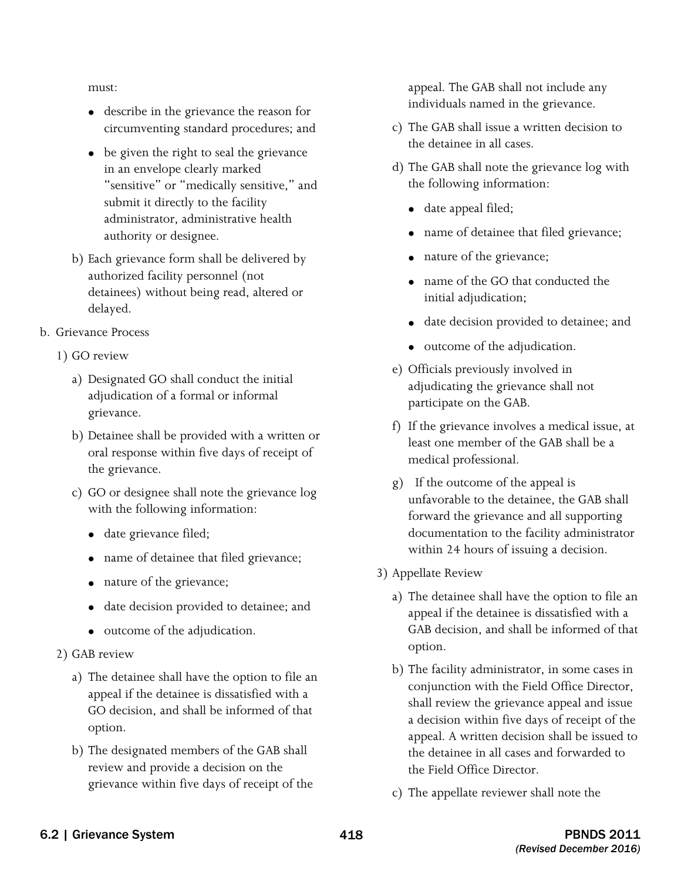must:

- • describe in the grievance the reason for circumventing standard procedures; and
- be given the right to seal the grievance in an envelope clearly marked "sensitive" or "medically sensitive," and submit it directly to the facility administrator, administrative health authority or designee.
- b) Each grievance form shall be delivered by authorized facility personnel (not detainees) without being read, altered or delayed.

#### b. Grievance Process

- 1) GO review
	- a) Designated GO shall conduct the initial adjudication of a formal or informal grievance.
	- b) Detainee shall be provided with a written or oral response within five days of receipt of the grievance.
	- c) GO or designee shall note the grievance log with the following information:
		- date grievance filed;
		- name of detainee that filed grievance;
		- nature of the grievance;
		- • date decision provided to detainee; and
		- • outcome of the adjudication.
- 2) GAB review
	- a) The detainee shall have the option to file an appeal if the detainee is dissatisfied with a GO decision, and shall be informed of that option.
	- b) The designated members of the GAB shall review and provide a decision on the grievance within five days of receipt of the

appeal. The GAB shall not include any individuals named in the grievance.

- c) The GAB shall issue a written decision to the detainee in all cases.
- d) The GAB shall note the grievance log with the following information:
	- date appeal filed;
	- name of detainee that filed grievance;
	- nature of the grievance;
	- name of the GO that conducted the initial adjudication;
	- date decision provided to detainee; and
	- outcome of the adjudication.
- e) Officials previously involved in adjudicating the grievance shall not participate on the GAB.
- f) If the grievance involves a medical issue, at least one member of the GAB shall be a medical professional.
- g) If the outcome of the appeal is unfavorable to the detainee, the GAB shall forward the grievance and all supporting documentation to the facility administrator within 24 hours of issuing a decision.
- 3) Appellate Review
	- a) The detainee shall have the option to file an appeal if the detainee is dissatisfied with a GAB decision, and shall be informed of that
	- shall review the grievance appeal and issue option. b) The facility administrator, in some cases in conjunction with the Field Office Director, a decision within five days of receipt of the appeal. A written decision shall be issued to the detainee in all cases and forwarded to the Field Office Director.
	- c) The appellate reviewer shall note the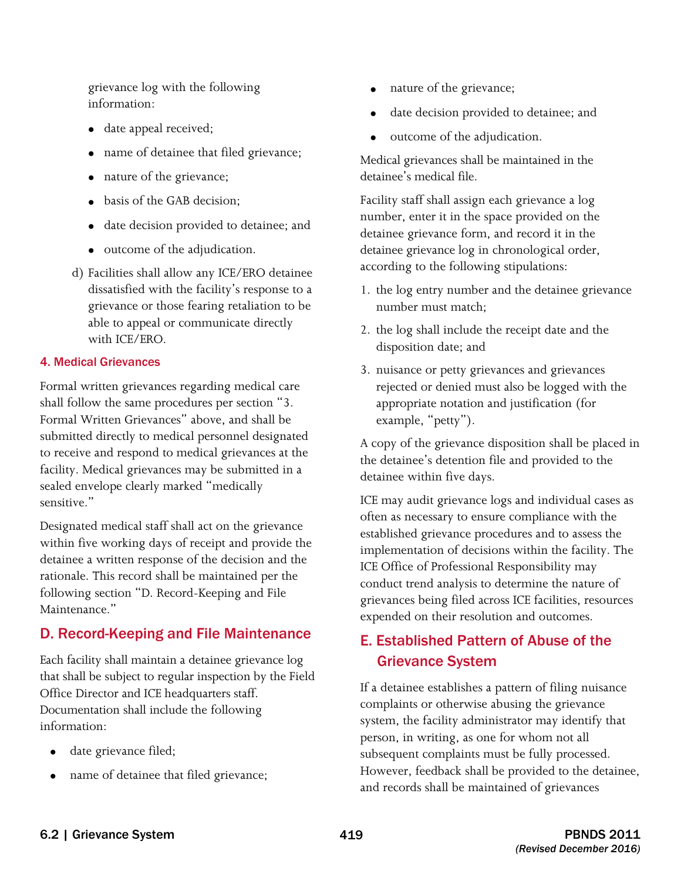grievance log with the following information:

- date appeal received;
- name of detainee that filed grievance;
- nature of the grievance;
- basis of the GAB decision;
- date decision provided to detainee; and
- outcome of the adjudication.
- d) Facilities shall allow any ICE/ERO detainee dissatisfied with the facility's response to a grievance or those fearing retaliation to be able to appeal or communicate directly with ICE/ERO.

#### 4. Medical Grievances

Formal written grievances regarding medical care shall follow the same procedures per section "3. Formal Written Grievances" above, and shall be submitted directly to medical personnel designated to receive and respond to medical grievances at the facility. Medical grievances may be submitted in a sealed envelope clearly marked "medically sensitive."

Designated medical staff shall act on the grievance within five working days of receipt and provide the detainee a written response of the decision and the rationale. This record shall be maintained per the following section "D. Record-Keeping and File Maintenance."

## D. Record-Keeping and File Maintenance

Each facility shall maintain a detainee grievance log that shall be subject to regular inspection by the Field Office Director and ICE headquarters staff. Documentation shall include the following information:

- date grievance filed;
- name of detainee that filed grievance;
- nature of the grievance;
- date decision provided to detainee; and
- outcome of the adjudication.

 Medical grievances shall be maintained in the detainee's medical file.

Facility staff shall assign each grievance a log number, enter it in the space provided on the detainee grievance form, and record it in the detainee grievance log in chronological order, according to the following stipulations:

- 1. the log entry number and the detainee grievance number must match;
- 2. the log shall include the receipt date and the disposition date; and
- 3. nuisance or petty grievances and grievances rejected or denied must also be logged with the appropriate notation and justification (for example, "petty").

A copy of the grievance disposition shall be placed in the detainee's detention file and provided to the detainee within five days.

ICE may audit grievance logs and individual cases as often as necessary to ensure compliance with the established grievance procedures and to assess the implementation of decisions within the facility. The ICE Office of Professional Responsibility may conduct trend analysis to determine the nature of grievances being filed across ICE facilities, resources expended on their resolution and outcomes.

### E. Established Pattern of Abuse of the Grievance System

If a detainee establishes a pattern of filing nuisance complaints or otherwise abusing the grievance system, the facility administrator may identify that person, in writing, as one for whom not all subsequent complaints must be fully processed. However, feedback shall be provided to the detainee, and records shall be maintained of grievances